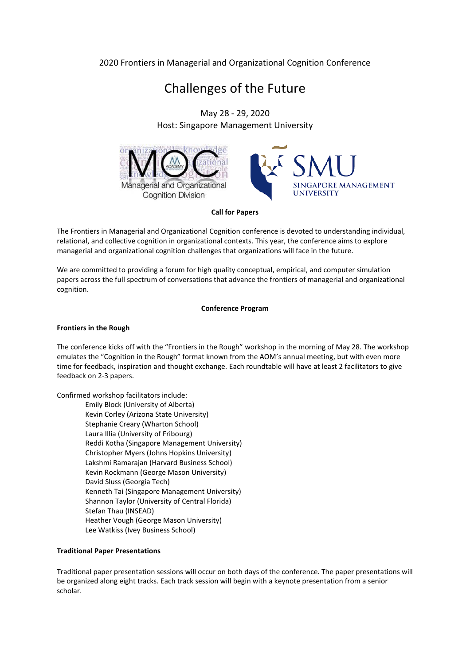### 2020 Frontiers in Managerial and Organizational Cognition Conference

# Challenges of the Future

May 28 - 29, 2020 Host: Singapore Management University



#### **Call for Papers**

**LE MANAGEMENT** 

The Frontiers in Managerial and Organizational Cognition conference is devoted to understanding individual, relational, and collective cognition in organizational contexts. This year, the conference aims to explore managerial and organizational cognition challenges that organizations will face in the future.

We are committed to providing a forum for high quality conceptual, empirical, and computer simulation papers across the full spectrum of conversations that advance the frontiers of managerial and organizational cognition.

#### **Conference Program**

#### **Frontiers in the Rough**

The conference kicks off with the "Frontiers in the Rough" workshop in the morning of May 28. The workshop emulates the "Cognition in the Rough" format known from the AOM's annual meeting, but with even more time for feedback, inspiration and thought exchange. Each roundtable will have at least 2 facilitators to give feedback on 2-3 papers.

Confirmed workshop facilitators include:

Emily Block (University of Alberta) Kevin Corley (Arizona State University) Stephanie Creary (Wharton School) Laura Illia (University of Fribourg) Reddi Kotha (Singapore Management University) Christopher Myers (Johns Hopkins University) Lakshmi Ramarajan (Harvard Business School) Kevin Rockmann (George Mason University) David Sluss (Georgia Tech) Kenneth Tai (Singapore Management University) Shannon Taylor (University of Central Florida) Stefan Thau (INSEAD) Heather Vough (George Mason University) Lee Watkiss (Ivey Business School)

#### **Traditional Paper Presentations**

Traditional paper presentation sessions will occur on both days of the conference. The paper presentations will be organized along eight tracks. Each track session will begin with a keynote presentation from a senior scholar.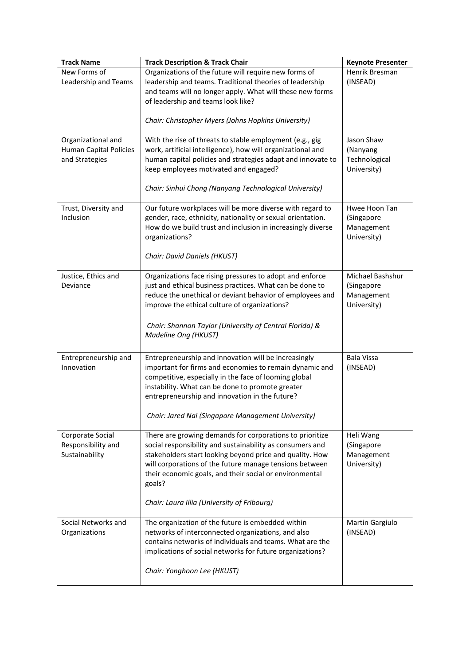| <b>Track Name</b>                                                     | <b>Track Description &amp; Track Chair</b>                                                                                                                                                                                                                                                                                                                       | <b>Keynote Presenter</b>                                    |
|-----------------------------------------------------------------------|------------------------------------------------------------------------------------------------------------------------------------------------------------------------------------------------------------------------------------------------------------------------------------------------------------------------------------------------------------------|-------------------------------------------------------------|
| New Forms of<br>Leadership and Teams                                  | Organizations of the future will require new forms of<br>leadership and teams. Traditional theories of leadership<br>and teams will no longer apply. What will these new forms<br>of leadership and teams look like?<br>Chair: Christopher Myers (Johns Hopkins University)                                                                                      | Henrik Bresman<br>(INSEAD)                                  |
| Organizational and<br><b>Human Capital Policies</b><br>and Strategies | With the rise of threats to stable employment (e.g., gig<br>work, artificial intelligence), how will organizational and<br>human capital policies and strategies adapt and innovate to<br>keep employees motivated and engaged?<br>Chair: Sinhui Chong (Nanyang Technological University)                                                                        | Jason Shaw<br>(Nanyang<br>Technological<br>University)      |
| Trust, Diversity and<br>Inclusion                                     | Our future workplaces will be more diverse with regard to<br>gender, race, ethnicity, nationality or sexual orientation.<br>How do we build trust and inclusion in increasingly diverse<br>organizations?<br>Chair: David Daniels (HKUST)                                                                                                                        | Hwee Hoon Tan<br>(Singapore<br>Management<br>University)    |
| Justice, Ethics and<br>Deviance                                       | Organizations face rising pressures to adopt and enforce<br>just and ethical business practices. What can be done to<br>reduce the unethical or deviant behavior of employees and<br>improve the ethical culture of organizations?<br>Chair: Shannon Taylor (University of Central Florida) &<br>Madeline Ong (HKUST)                                            | Michael Bashshur<br>(Singapore<br>Management<br>University) |
| Entrepreneurship and<br>Innovation                                    | Entrepreneurship and innovation will be increasingly<br>important for firms and economies to remain dynamic and<br>competitive, especially in the face of looming global<br>instability. What can be done to promote greater<br>entrepreneurship and innovation in the future?<br>Chair: Jared Nai (Singapore Management University)                             | Bala Vissa<br>(INSEAD)                                      |
| Corporate Social<br>Responsibility and<br>Sustainability              | There are growing demands for corporations to prioritize<br>social responsibility and sustainability as consumers and<br>stakeholders start looking beyond price and quality. How<br>will corporations of the future manage tensions between<br>their economic goals, and their social or environmental<br>goals?<br>Chair: Laura Illia (University of Fribourg) | Heli Wang<br>(Singapore<br>Management<br>University)        |
| Social Networks and<br>Organizations                                  | The organization of the future is embedded within<br>networks of interconnected organizations, and also<br>contains networks of individuals and teams. What are the<br>implications of social networks for future organizations?<br>Chair: Yonghoon Lee (HKUST)                                                                                                  | Martin Gargiulo<br>(INSEAD)                                 |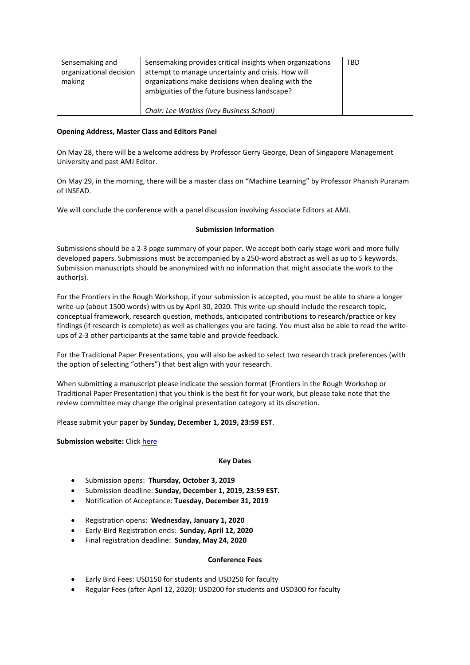| Sensemaking and<br>organizational decision<br>making | Sensemaking provides critical insights when organizations<br>attempt to manage uncertainty and crisis. How will<br>organizations make decisions when dealing with the<br>ambiguities of the future business landscape? | TBD |
|------------------------------------------------------|------------------------------------------------------------------------------------------------------------------------------------------------------------------------------------------------------------------------|-----|
|                                                      | Chair: Lee Watkiss (Ivey Business School)                                                                                                                                                                              |     |

#### **Opening Address, Master Class and Editors Panel**

On May 28, there will be a welcome address by Professor Gerry George, Dean of Singapore Management University and past AMJ Editor.

On May 29, in the morning, there will be a master class on "Machine Learning" by Professor Phanish Puranam of INSEAD.

We will conclude the conference with a panel discussion involving Associate Editors at AMJ.

#### **Submission Information**

Submissions should be a 2-3 page summary of your paper. We accept both early stage work and more fully developed papers. Submissions must be accompanied by a 250-word abstract as well as up to 5 keywords. Submission manuscripts should be anonymized with no information that might associate the work to the author(s).

For the Frontiers in the Rough Workshop, if your submission is accepted, you must be able to share a longer write-up (about 1500 words) with us by April 30, 2020. This write-up should include the research topic, conceptual framework, research question, methods, anticipated contributions to research/practice or key findings (if research is complete) as well as challenges you are facing. You must also be able to read the writeups of 2-3 other participants at the same table and provide feedback.

For the Traditional Paper Presentations, you will also be asked to select two research track preferences (with the option of selecting "others") that best align with your research.

When submitting a manuscript please indicate the session format (Frontiers in the Rough Workshop or Traditional Paper Presentation) that you think is the best fit for your work, but please take note that the review committee may change the original presentation category at its discretion.

Please submit your paper by **Sunday, December 1, 2019, 23:59 EST**.

**Submission website:** Click [here](http://tiny.cc/SMU-MOC2020)

#### **Key Dates**

- Submission opens: **Thursday, October 3, 2019**
- Submission deadline: **Sunday, December 1, 2019, 23:59 EST.**
- Notification of Acceptance: **Tuesday, December 31, 2019**
- Registration opens: **Wednesday, January 1, 2020**
- Early-Bird Registration ends: **Sunday, April 12, 2020**
- Final registration deadline: **Sunday, May 24, 2020**

#### **Conference Fees**

- Early Bird Fees: USD150 for students and USD250 for faculty
- Regular Fees (after April 12, 2020): USD200 for students and USD300 for faculty